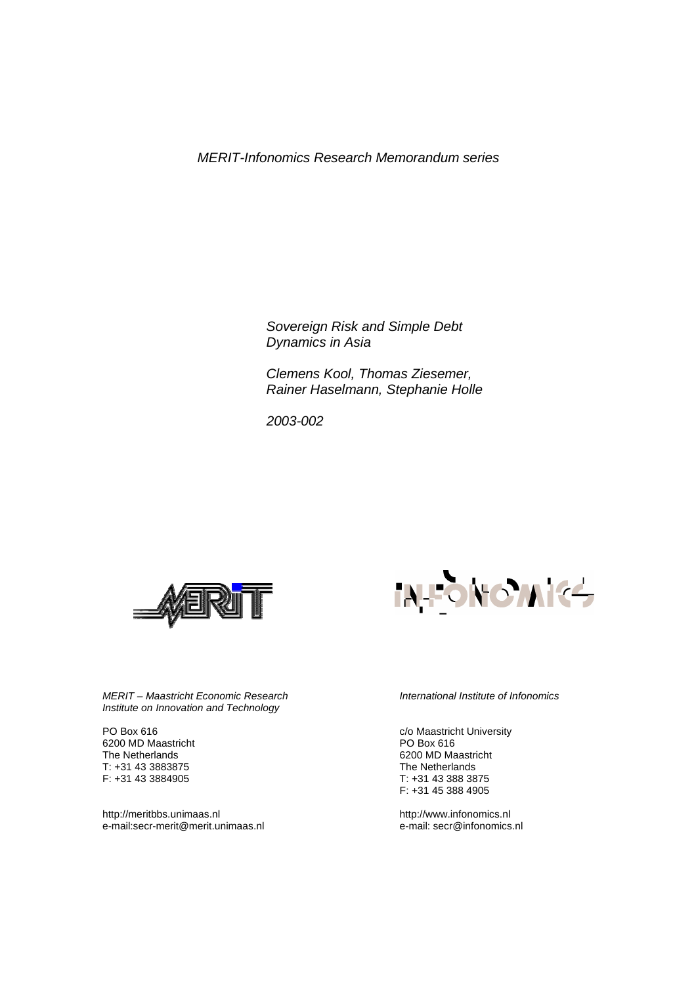*MERIT-Infonomics Research Memorandum series* 

*Sovereign Risk and Simple Debt Dynamics in Asia* 

*Clemens Kool, Thomas Ziesemer, Rainer Haselmann, Stephanie Holle* 

 *2003-002* 





*MERIT – Maastricht Economic Research Institute on Innovation and Technology* 

PO Box 616 6200 MD Maastricht The Netherlands T: +31 43 3883875 F: +31 43 3884905

http://meritbbs.unimaas.nl e-mail:secr-merit@merit.unimaas.nl *International Institute of Infonomics* 

c/o Maastricht University PO Box 616 6200 MD Maastricht The Netherlands T: +31 43 388 3875 F: +31 45 388 4905

http://www.infonomics.nl e-mail: secr@infonomics.nl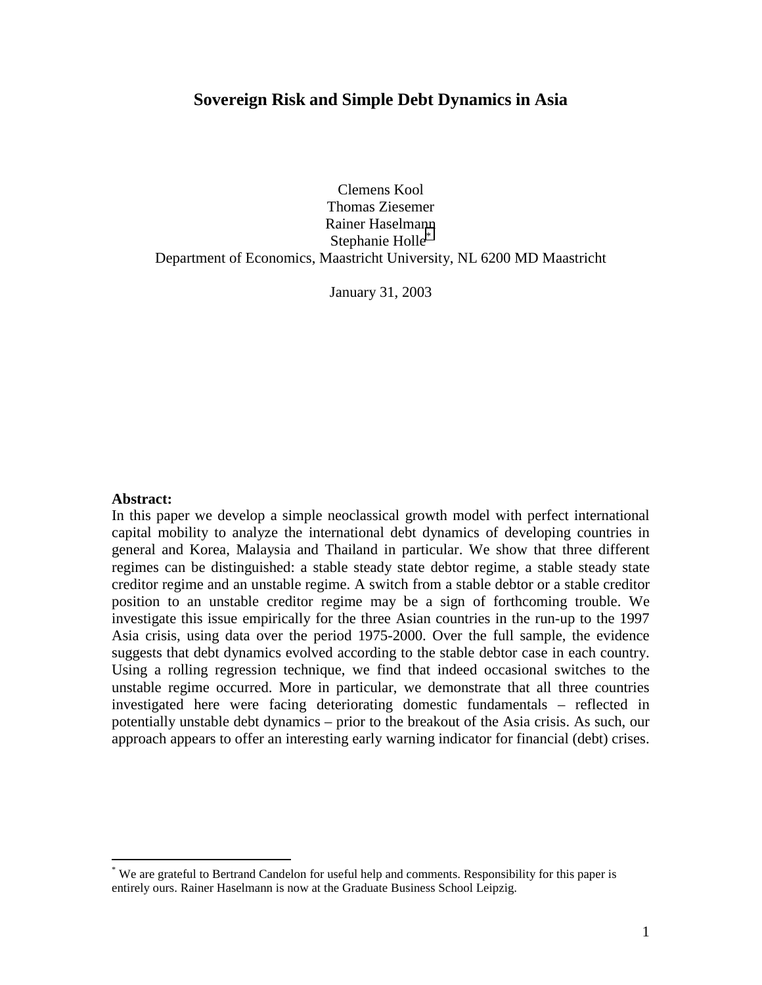## **Sovereign Risk and Simple Debt Dynamics in Asia**

Clemens Kool Thomas Ziesemer Rainer Haselmann Stephanie Holle<sup>\*</sup> Department of Economics, Maastricht University, NL 6200 MD Maastricht

January 31, 2003

#### **Abstract:**

 $\overline{a}$ 

In this paper we develop a simple neoclassical growth model with perfect international capital mobility to analyze the international debt dynamics of developing countries in general and Korea, Malaysia and Thailand in particular. We show that three different regimes can be distinguished: a stable steady state debtor regime, a stable steady state creditor regime and an unstable regime. A switch from a stable debtor or a stable creditor position to an unstable creditor regime may be a sign of forthcoming trouble. We investigate this issue empirically for the three Asian countries in the run-up to the 1997 Asia crisis, using data over the period 1975-2000. Over the full sample, the evidence suggests that debt dynamics evolved according to the stable debtor case in each country. Using a rolling regression technique, we find that indeed occasional switches to the unstable regime occurred. More in particular, we demonstrate that all three countries investigated here were facing deteriorating domestic fundamentals – reflected in potentially unstable debt dynamics – prior to the breakout of the Asia crisis. As such, our approach appears to offer an interesting early warning indicator for financial (debt) crises.

<sup>\*</sup> We are grateful to Bertrand Candelon for useful help and comments. Responsibility for this paper is entirely ours. Rainer Haselmann is now at the Graduate Business School Leipzig.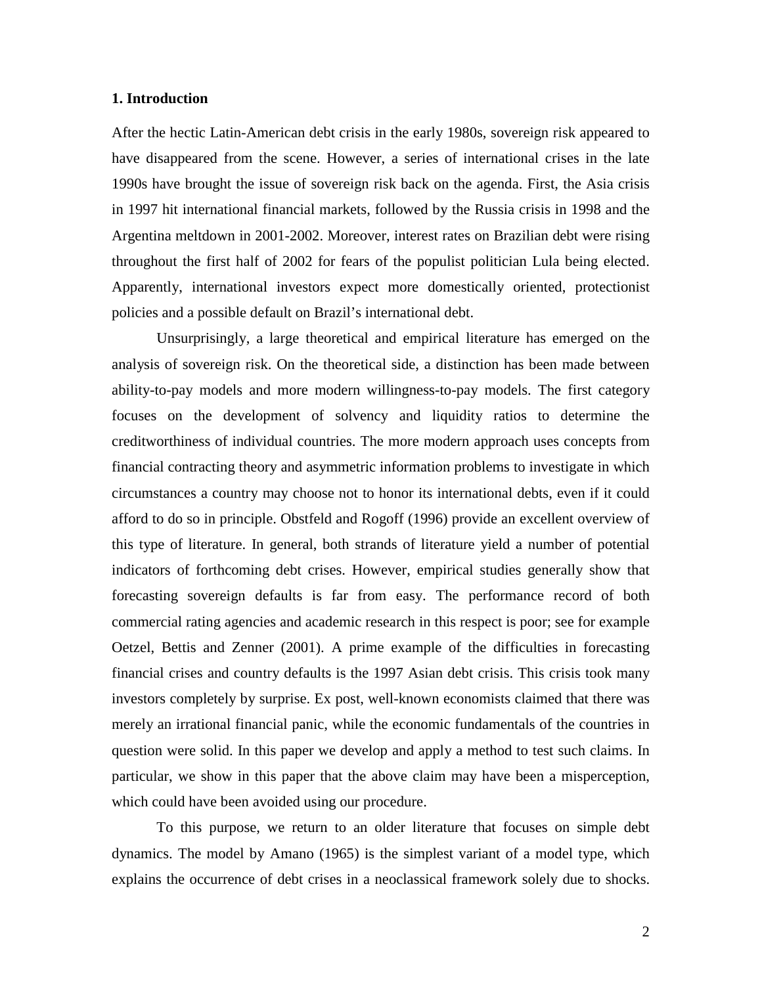#### **1. Introduction**

After the hectic Latin-American debt crisis in the early 1980s, sovereign risk appeared to have disappeared from the scene. However, a series of international crises in the late 1990s have brought the issue of sovereign risk back on the agenda. First, the Asia crisis in 1997 hit international financial markets, followed by the Russia crisis in 1998 and the Argentina meltdown in 2001-2002. Moreover, interest rates on Brazilian debt were rising throughout the first half of 2002 for fears of the populist politician Lula being elected. Apparently, international investors expect more domestically oriented, protectionist policies and a possible default on Brazil's international debt.

Unsurprisingly, a large theoretical and empirical literature has emerged on the analysis of sovereign risk. On the theoretical side, a distinction has been made between ability-to-pay models and more modern willingness-to-pay models. The first category focuses on the development of solvency and liquidity ratios to determine the creditworthiness of individual countries. The more modern approach uses concepts from financial contracting theory and asymmetric information problems to investigate in which circumstances a country may choose not to honor its international debts, even if it could afford to do so in principle. Obstfeld and Rogoff (1996) provide an excellent overview of this type of literature. In general, both strands of literature yield a number of potential indicators of forthcoming debt crises. However, empirical studies generally show that forecasting sovereign defaults is far from easy. The performance record of both commercial rating agencies and academic research in this respect is poor; see for example Oetzel, Bettis and Zenner (2001). A prime example of the difficulties in forecasting financial crises and country defaults is the 1997 Asian debt crisis. This crisis took many investors completely by surprise. Ex post, well-known economists claimed that there was merely an irrational financial panic, while the economic fundamentals of the countries in question were solid. In this paper we develop and apply a method to test such claims. In particular, we show in this paper that the above claim may have been a misperception, which could have been avoided using our procedure.

To this purpose, we return to an older literature that focuses on simple debt dynamics. The model by Amano (1965) is the simplest variant of a model type, which explains the occurrence of debt crises in a neoclassical framework solely due to shocks.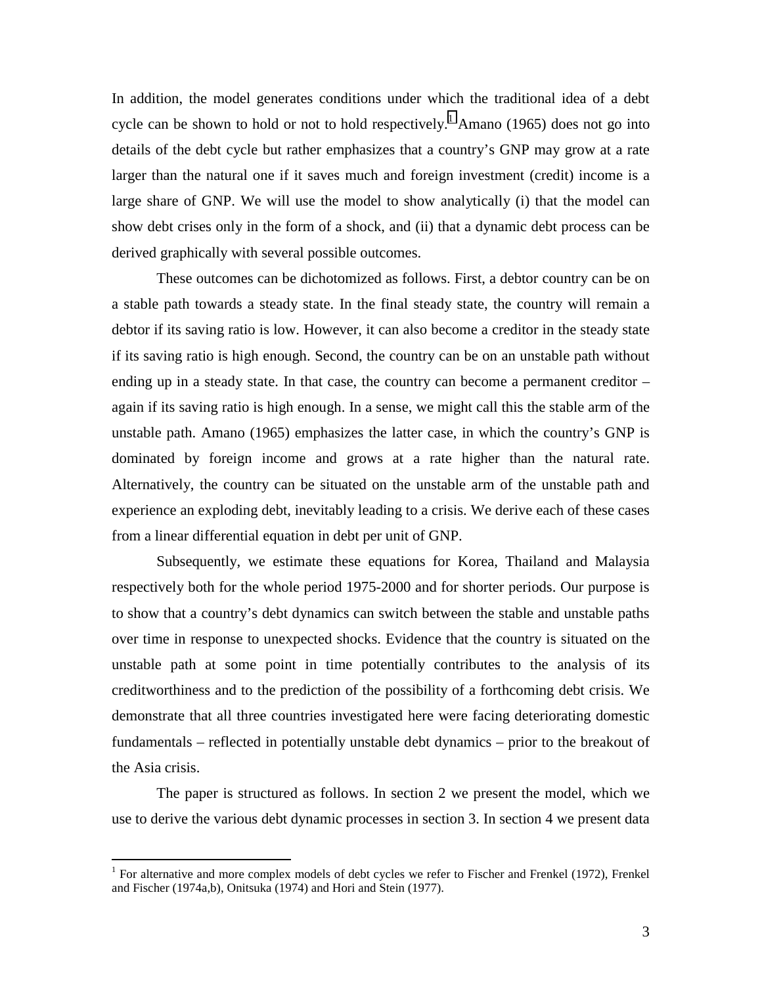In addition, the model generates conditions under which the traditional idea of a debt cycle can be shown to hold or not to hold respectively.<sup>1</sup> Amano (1965) does not go into details of the debt cycle but rather emphasizes that a country's GNP may grow at a rate larger than the natural one if it saves much and foreign investment (credit) income is a large share of GNP. We will use the model to show analytically (i) that the model can show debt crises only in the form of a shock, and (ii) that a dynamic debt process can be derived graphically with several possible outcomes.

These outcomes can be dichotomized as follows. First, a debtor country can be on a stable path towards a steady state. In the final steady state, the country will remain a debtor if its saving ratio is low. However, it can also become a creditor in the steady state if its saving ratio is high enough. Second, the country can be on an unstable path without ending up in a steady state. In that case, the country can become a permanent creditor – again if its saving ratio is high enough. In a sense, we might call this the stable arm of the unstable path. Amano (1965) emphasizes the latter case, in which the country's GNP is dominated by foreign income and grows at a rate higher than the natural rate. Alternatively, the country can be situated on the unstable arm of the unstable path and experience an exploding debt, inevitably leading to a crisis. We derive each of these cases from a linear differential equation in debt per unit of GNP.

Subsequently, we estimate these equations for Korea, Thailand and Malaysia respectively both for the whole period 1975-2000 and for shorter periods. Our purpose is to show that a country's debt dynamics can switch between the stable and unstable paths over time in response to unexpected shocks. Evidence that the country is situated on the unstable path at some point in time potentially contributes to the analysis of its creditworthiness and to the prediction of the possibility of a forthcoming debt crisis. We demonstrate that all three countries investigated here were facing deteriorating domestic fundamentals – reflected in potentially unstable debt dynamics – prior to the breakout of the Asia crisis.

The paper is structured as follows. In section 2 we present the model, which we use to derive the various debt dynamic processes in section 3. In section 4 we present data

<sup>&</sup>lt;sup>1</sup> For alternative and more complex models of debt cycles we refer to Fischer and Frenkel (1972), Frenkel and Fischer (1974a,b), Onitsuka (1974) and Hori and Stein (1977).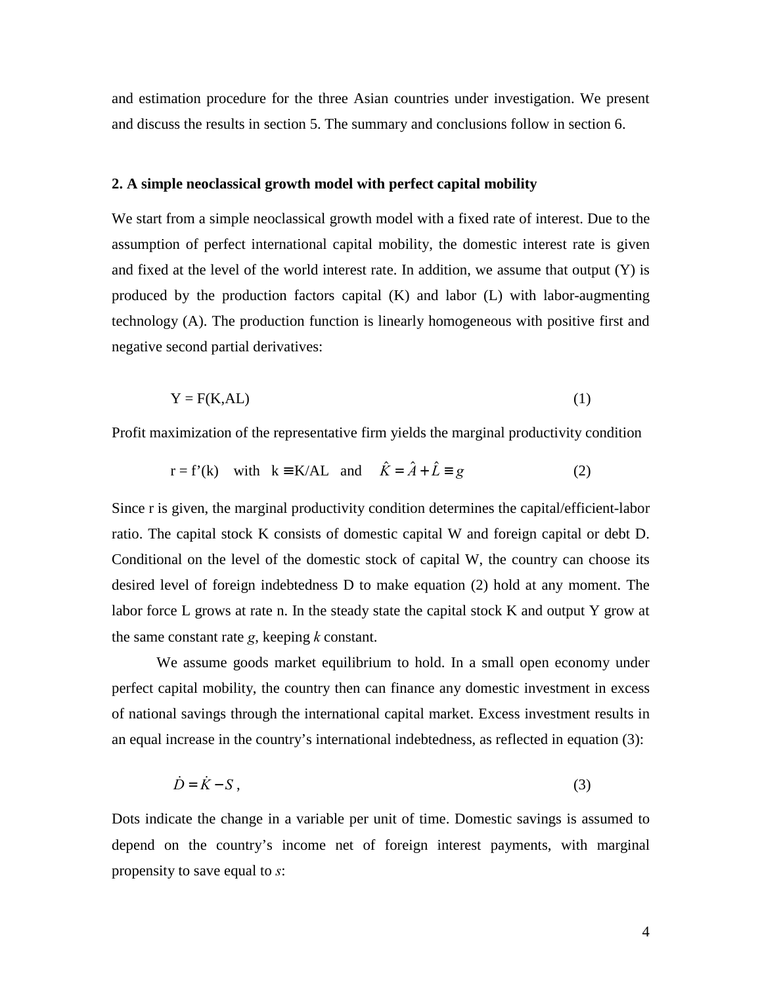and estimation procedure for the three Asian countries under investigation. We present and discuss the results in section 5. The summary and conclusions follow in section 6.

#### **2. A simple neoclassical growth model with perfect capital mobility**

We start from a simple neoclassical growth model with a fixed rate of interest. Due to the assumption of perfect international capital mobility, the domestic interest rate is given and fixed at the level of the world interest rate. In addition, we assume that output  $(Y)$  is produced by the production factors capital (K) and labor (L) with labor-augmenting technology (A). The production function is linearly homogeneous with positive first and negative second partial derivatives:

$$
Y = F(K, AL) \tag{1}
$$

Profit maximization of the representative firm yields the marginal productivity condition

$$
r = f'(k)
$$
 with  $k = K/AL$  and  $\hat{K} = \hat{A} + \hat{L} = g$  (2)

Since r is given, the marginal productivity condition determines the capital/efficient-labor ratio. The capital stock K consists of domestic capital W and foreign capital or debt D. Conditional on the level of the domestic stock of capital W, the country can choose its desired level of foreign indebtedness D to make equation (2) hold at any moment. The labor force L grows at rate n. In the steady state the capital stock K and output Y grow at the same constant rate *g*, keeping *k* constant.

We assume goods market equilibrium to hold. In a small open economy under perfect capital mobility, the country then can finance any domestic investment in excess of national savings through the international capital market. Excess investment results in an equal increase in the country's international indebtedness, as reflected in equation (3):

$$
\dot{D} = \dot{K} - S \,,\tag{3}
$$

Dots indicate the change in a variable per unit of time. Domestic savings is assumed to depend on the country's income net of foreign interest payments, with marginal propensity to save equal to *s*: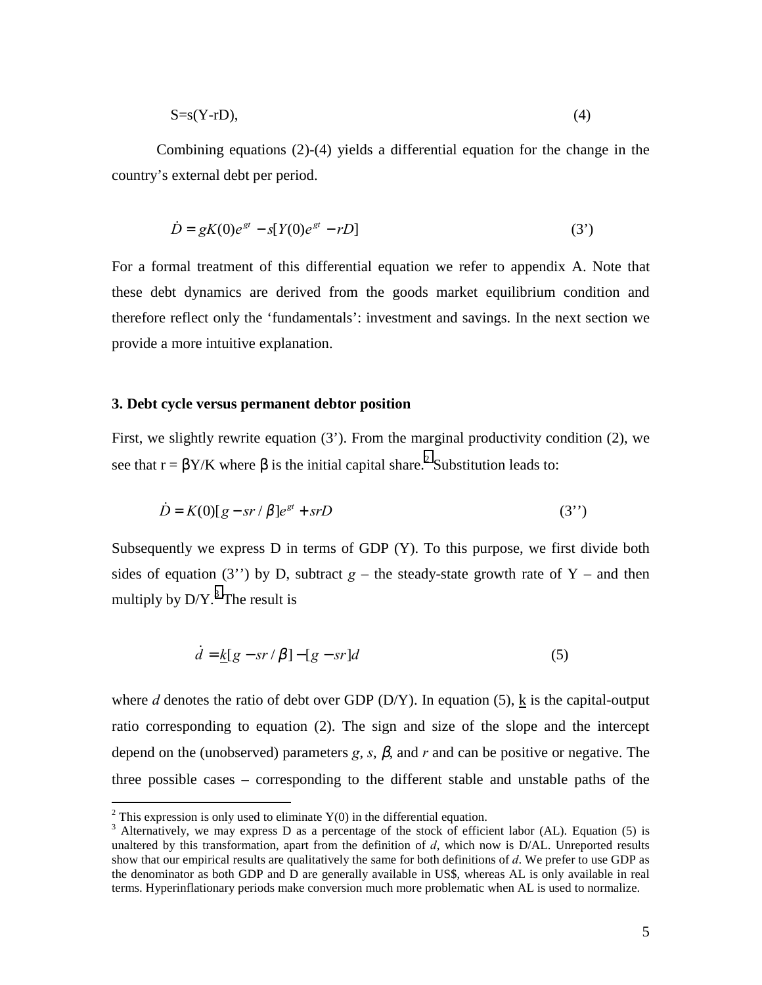$$
S=s(Y-rD),\tag{4}
$$

Combining equations (2)-(4) yields a differential equation for the change in the country's external debt per period.

$$
\dot{D} = gK(0)e^{gt} - s[Y(0)e^{gt} - rD]
$$
\n(3')

For a formal treatment of this differential equation we refer to appendix A. Note that these debt dynamics are derived from the goods market equilibrium condition and therefore reflect only the 'fundamentals': investment and savings. In the next section we provide a more intuitive explanation.

### **3. Debt cycle versus permanent debtor position**

First, we slightly rewrite equation (3'). From the marginal productivity condition (2), we see that  $r = \beta Y/K$  where  $\beta$  is the initial capital share.<sup>2</sup> Substitution leads to:

$$
\dot{D} = K(0)[g - sr / \beta]e^{gt} + srD
$$
\n(3")

Subsequently we express D in terms of GDP (Y). To this purpose, we first divide both sides of equation (3<sup>'</sup>) by D, subtract  $g$  – the steady-state growth rate of Y – and then multiply by  $D/Y$ .<sup>3</sup> The result is

$$
\dot{d} = k[g - sr/\beta] - [g - sr]d\tag{5}
$$

where *d* denotes the ratio of debt over GDP (D/Y). In equation (5),  $\underline{k}$  is the capital-output ratio corresponding to equation (2). The sign and size of the slope and the intercept depend on the (unobserved) parameters  $g$ ,  $s$ ,  $\beta$ , and  $r$  and can be positive or negative. The three possible cases – corresponding to the different stable and unstable paths of the

<sup>&</sup>lt;sup>2</sup> This expression is only used to eliminate Y(0) in the differential equation.

<sup>&</sup>lt;sup>3</sup> Alternatively, we may express D as a percentage of the stock of efficient labor (AL). Equation (5) is unaltered by this transformation, apart from the definition of *d*, which now is D/AL. Unreported results show that our empirical results are qualitatively the same for both definitions of *d*. We prefer to use GDP as the denominator as both GDP and D are generally available in US\$, whereas AL is only available in real terms. Hyperinflationary periods make conversion much more problematic when AL is used to normalize.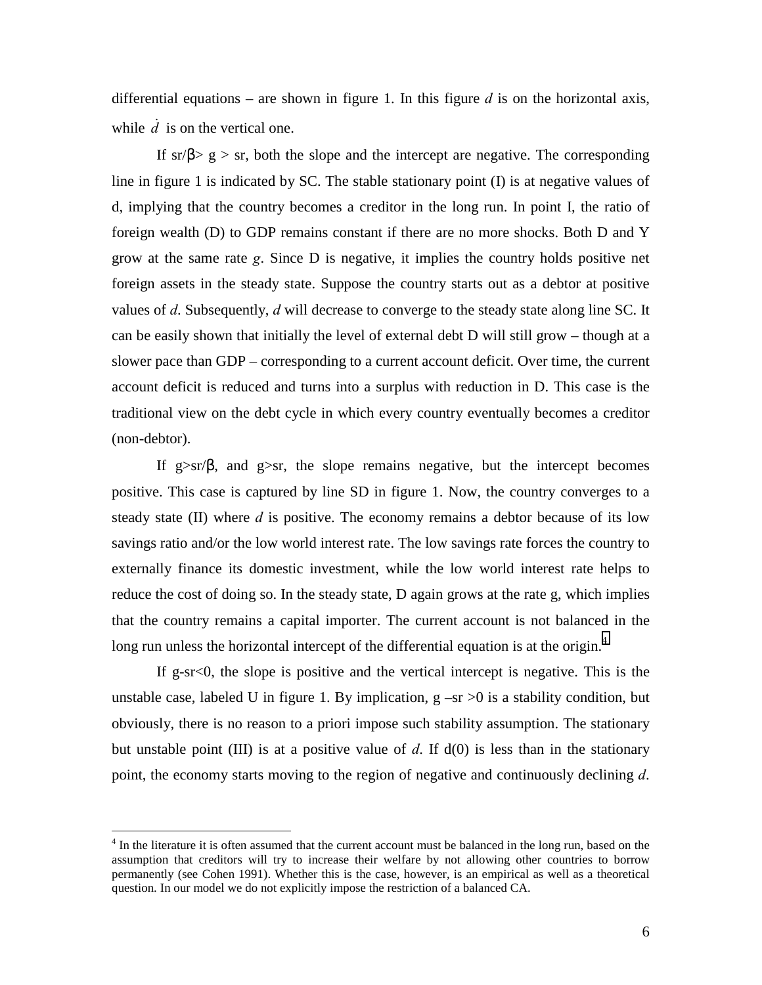differential equations – are shown in figure 1. In this figure  $d$  is on the horizontal axis, while  $\dot{d}$  is on the vertical one.

If  $\text{sr}/\beta$  g > sr, both the slope and the intercept are negative. The corresponding line in figure 1 is indicated by SC. The stable stationary point (I) is at negative values of d, implying that the country becomes a creditor in the long run. In point I, the ratio of foreign wealth (D) to GDP remains constant if there are no more shocks. Both D and Y grow at the same rate *g*. Since D is negative, it implies the country holds positive net foreign assets in the steady state. Suppose the country starts out as a debtor at positive values of *d*. Subsequently, *d* will decrease to converge to the steady state along line SC. It can be easily shown that initially the level of external debt D will still grow – though at a slower pace than GDP – corresponding to a current account deficit. Over time, the current account deficit is reduced and turns into a surplus with reduction in D. This case is the traditional view on the debt cycle in which every country eventually becomes a creditor (non-debtor).

If g $\gg$ sr/ $\beta$ , and g $\gg$ sr, the slope remains negative, but the intercept becomes positive. This case is captured by line SD in figure 1. Now, the country converges to a steady state (II) where *d* is positive. The economy remains a debtor because of its low savings ratio and/or the low world interest rate. The low savings rate forces the country to externally finance its domestic investment, while the low world interest rate helps to reduce the cost of doing so. In the steady state, D again grows at the rate g, which implies that the country remains a capital importer. The current account is not balanced in the long run unless the horizontal intercept of the differential equation is at the origin. $4$ 

If g-sr $< 0$ , the slope is positive and the vertical intercept is negative. This is the unstable case, labeled U in figure 1. By implication,  $g - sr > 0$  is a stability condition, but obviously, there is no reason to a priori impose such stability assumption. The stationary but unstable point (III) is at a positive value of *d*. If d(0) is less than in the stationary point, the economy starts moving to the region of negative and continuously declining *d*.

<sup>&</sup>lt;sup>4</sup> In the literature it is often assumed that the current account must be balanced in the long run, based on the assumption that creditors will try to increase their welfare by not allowing other countries to borrow permanently (see Cohen 1991). Whether this is the case, however, is an empirical as well as a theoretical question. In our model we do not explicitly impose the restriction of a balanced CA.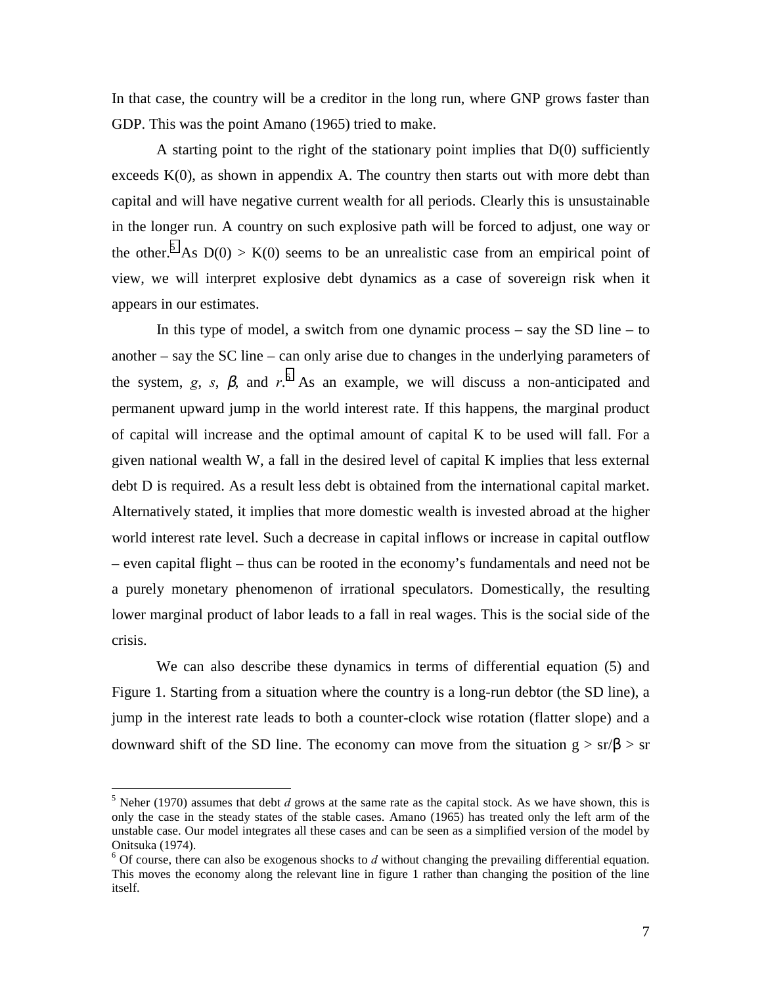In that case, the country will be a creditor in the long run, where GNP grows faster than GDP. This was the point Amano (1965) tried to make.

A starting point to the right of the stationary point implies that D(0) sufficiently exceeds  $K(0)$ , as shown in appendix A. The country then starts out with more debt than capital and will have negative current wealth for all periods. Clearly this is unsustainable in the longer run. A country on such explosive path will be forced to adjust, one way or the other.<sup>5</sup> As  $D(0) > K(0)$  seems to be an unrealistic case from an empirical point of view, we will interpret explosive debt dynamics as a case of sovereign risk when it appears in our estimates.

In this type of model, a switch from one dynamic process  $-$  say the SD line  $-$  to another – say the SC line – can only arise due to changes in the underlying parameters of the system, *g*, *s*,  $\beta$ , and *r*<sup>.6</sup> As an example, we will discuss a non-anticipated and permanent upward jump in the world interest rate. If this happens, the marginal product of capital will increase and the optimal amount of capital K to be used will fall. For a given national wealth W, a fall in the desired level of capital K implies that less external debt D is required. As a result less debt is obtained from the international capital market. Alternatively stated, it implies that more domestic wealth is invested abroad at the higher world interest rate level. Such a decrease in capital inflows or increase in capital outflow – even capital flight – thus can be rooted in the economy's fundamentals and need not be a purely monetary phenomenon of irrational speculators. Domestically, the resulting lower marginal product of labor leads to a fall in real wages. This is the social side of the crisis.

We can also describe these dynamics in terms of differential equation (5) and Figure 1. Starting from a situation where the country is a long-run debtor (the SD line), a jump in the interest rate leads to both a counter-clock wise rotation (flatter slope) and a downward shift of the SD line. The economy can move from the situation  $g > sr/\beta > sr$ 

 $<sup>5</sup>$  Neher (1970) assumes that debt *d* grows at the same rate as the capital stock. As we have shown, this is</sup> only the case in the steady states of the stable cases. Amano (1965) has treated only the left arm of the unstable case. Our model integrates all these cases and can be seen as a simplified version of the model by Onitsuka (1974).

 $6$  Of course, there can also be exogenous shocks to  $d$  without changing the prevailing differential equation. This moves the economy along the relevant line in figure 1 rather than changing the position of the line itself.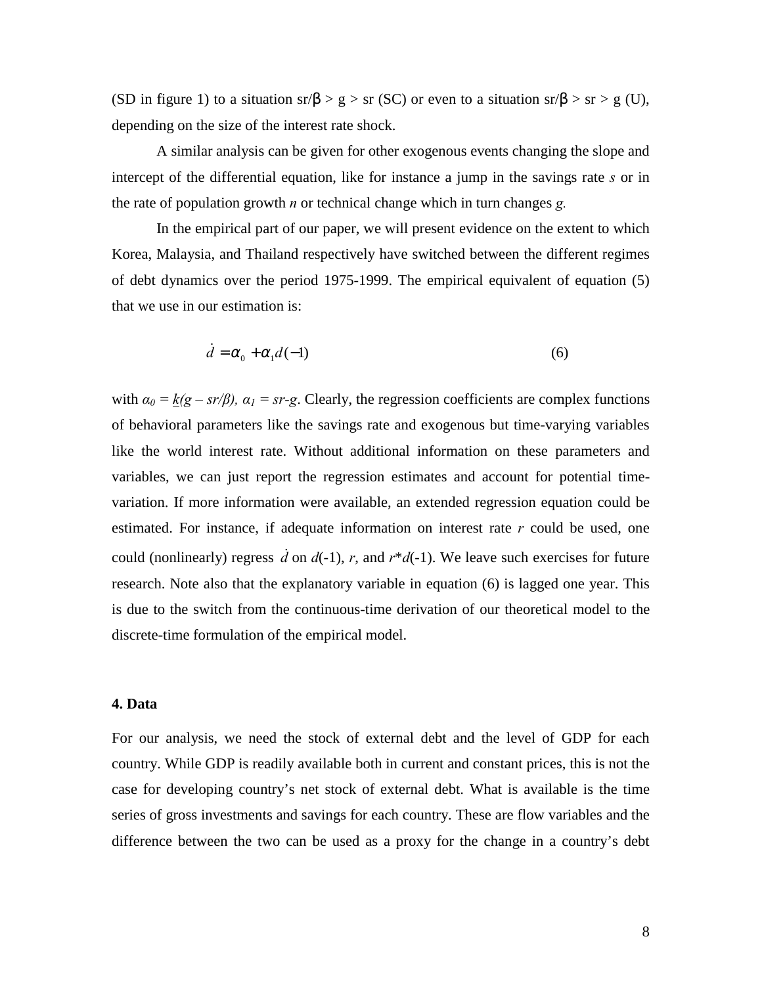(SD in figure 1) to a situation sr/ $\beta > g >$  sr (SC) or even to a situation sr/ $\beta >$  sr > g (U), depending on the size of the interest rate shock.

A similar analysis can be given for other exogenous events changing the slope and intercept of the differential equation, like for instance a jump in the savings rate *s* or in the rate of population growth *n* or technical change which in turn changes *g.* 

In the empirical part of our paper, we will present evidence on the extent to which Korea, Malaysia, and Thailand respectively have switched between the different regimes of debt dynamics over the period 1975-1999. The empirical equivalent of equation (5) that we use in our estimation is:

$$
\dot{d} = \alpha_0 + \alpha_1 d(-1) \tag{6}
$$

with  $\alpha_0 = k(g - sr/\beta)$ ,  $\alpha_1 = sr-g$ . Clearly, the regression coefficients are complex functions of behavioral parameters like the savings rate and exogenous but time-varying variables like the world interest rate. Without additional information on these parameters and variables, we can just report the regression estimates and account for potential timevariation. If more information were available, an extended regression equation could be estimated. For instance, if adequate information on interest rate *r* could be used, one could (nonlinearly) regress  $\dot{d}$  on  $d(-1)$ ,  $r$ , and  $r*d(-1)$ . We leave such exercises for future research. Note also that the explanatory variable in equation (6) is lagged one year. This is due to the switch from the continuous-time derivation of our theoretical model to the discrete-time formulation of the empirical model.

### **4. Data**

For our analysis, we need the stock of external debt and the level of GDP for each country. While GDP is readily available both in current and constant prices, this is not the case for developing country's net stock of external debt. What is available is the time series of gross investments and savings for each country. These are flow variables and the difference between the two can be used as a proxy for the change in a country's debt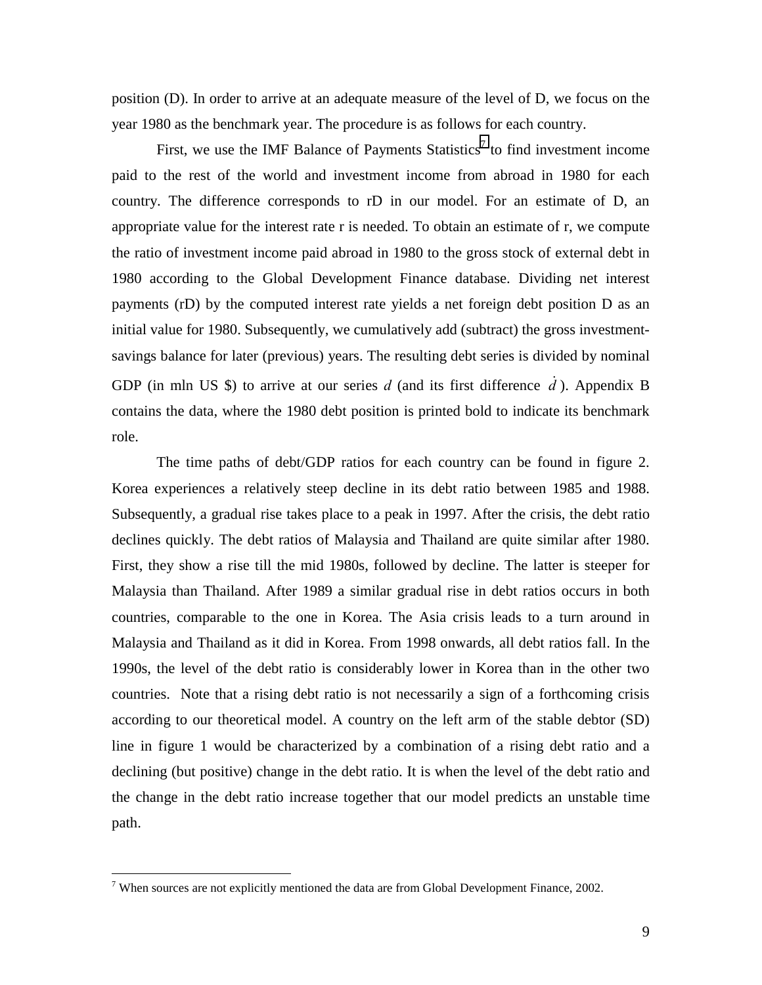position (D). In order to arrive at an adequate measure of the level of D, we focus on the year 1980 as the benchmark year. The procedure is as follows for each country.

First, we use the IMF Balance of Payments Statistics<sup>7</sup> to find investment income paid to the rest of the world and investment income from abroad in 1980 for each country. The difference corresponds to rD in our model. For an estimate of D, an appropriate value for the interest rate r is needed. To obtain an estimate of r, we compute the ratio of investment income paid abroad in 1980 to the gross stock of external debt in 1980 according to the Global Development Finance database. Dividing net interest payments (rD) by the computed interest rate yields a net foreign debt position D as an initial value for 1980. Subsequently, we cumulatively add (subtract) the gross investmentsavings balance for later (previous) years. The resulting debt series is divided by nominal GDP (in mln US \$) to arrive at our series  $d$  (and its first difference  $\dot{d}$ ). Appendix B contains the data, where the 1980 debt position is printed bold to indicate its benchmark role.

The time paths of debt/GDP ratios for each country can be found in figure 2. Korea experiences a relatively steep decline in its debt ratio between 1985 and 1988. Subsequently, a gradual rise takes place to a peak in 1997. After the crisis, the debt ratio declines quickly. The debt ratios of Malaysia and Thailand are quite similar after 1980. First, they show a rise till the mid 1980s, followed by decline. The latter is steeper for Malaysia than Thailand. After 1989 a similar gradual rise in debt ratios occurs in both countries, comparable to the one in Korea. The Asia crisis leads to a turn around in Malaysia and Thailand as it did in Korea. From 1998 onwards, all debt ratios fall. In the 1990s, the level of the debt ratio is considerably lower in Korea than in the other two countries. Note that a rising debt ratio is not necessarily a sign of a forthcoming crisis according to our theoretical model. A country on the left arm of the stable debtor (SD) line in figure 1 would be characterized by a combination of a rising debt ratio and a declining (but positive) change in the debt ratio. It is when the level of the debt ratio and the change in the debt ratio increase together that our model predicts an unstable time path.

<sup>&</sup>lt;sup>7</sup> When sources are not explicitly mentioned the data are from Global Development Finance, 2002.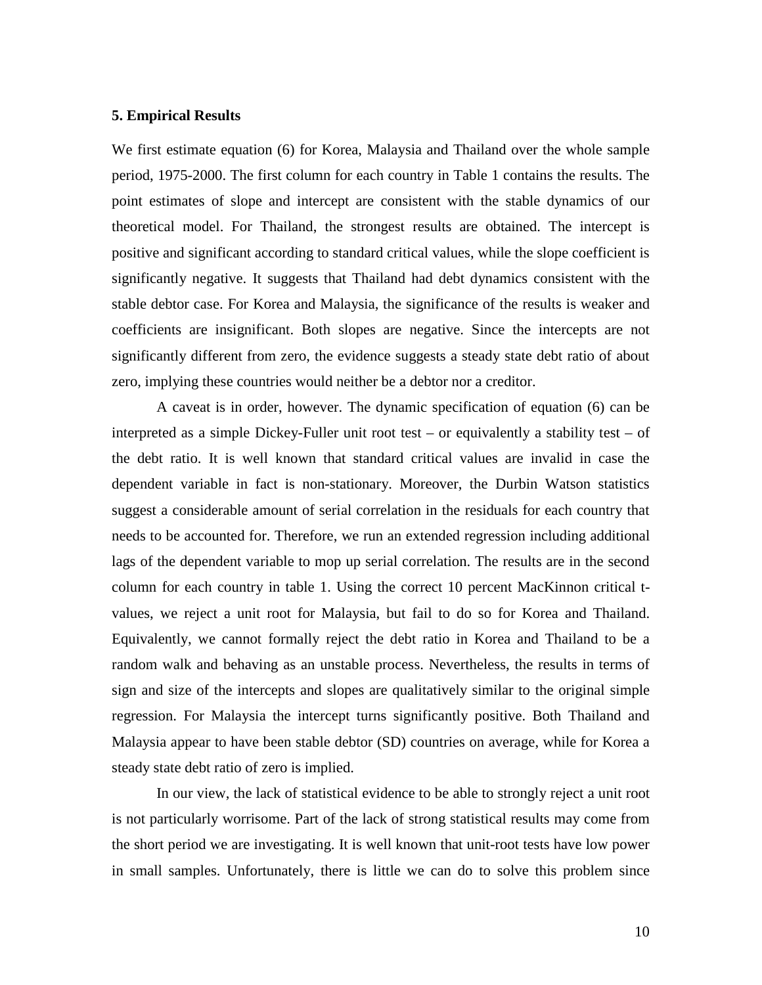#### **5. Empirical Results**

We first estimate equation (6) for Korea, Malaysia and Thailand over the whole sample period, 1975-2000. The first column for each country in Table 1 contains the results. The point estimates of slope and intercept are consistent with the stable dynamics of our theoretical model. For Thailand, the strongest results are obtained. The intercept is positive and significant according to standard critical values, while the slope coefficient is significantly negative. It suggests that Thailand had debt dynamics consistent with the stable debtor case. For Korea and Malaysia, the significance of the results is weaker and coefficients are insignificant. Both slopes are negative. Since the intercepts are not significantly different from zero, the evidence suggests a steady state debt ratio of about zero, implying these countries would neither be a debtor nor a creditor.

A caveat is in order, however. The dynamic specification of equation (6) can be interpreted as a simple Dickey-Fuller unit root test – or equivalently a stability test – of the debt ratio. It is well known that standard critical values are invalid in case the dependent variable in fact is non-stationary. Moreover, the Durbin Watson statistics suggest a considerable amount of serial correlation in the residuals for each country that needs to be accounted for. Therefore, we run an extended regression including additional lags of the dependent variable to mop up serial correlation. The results are in the second column for each country in table 1. Using the correct 10 percent MacKinnon critical tvalues, we reject a unit root for Malaysia, but fail to do so for Korea and Thailand. Equivalently, we cannot formally reject the debt ratio in Korea and Thailand to be a random walk and behaving as an unstable process. Nevertheless, the results in terms of sign and size of the intercepts and slopes are qualitatively similar to the original simple regression. For Malaysia the intercept turns significantly positive. Both Thailand and Malaysia appear to have been stable debtor (SD) countries on average, while for Korea a steady state debt ratio of zero is implied.

In our view, the lack of statistical evidence to be able to strongly reject a unit root is not particularly worrisome. Part of the lack of strong statistical results may come from the short period we are investigating. It is well known that unit-root tests have low power in small samples. Unfortunately, there is little we can do to solve this problem since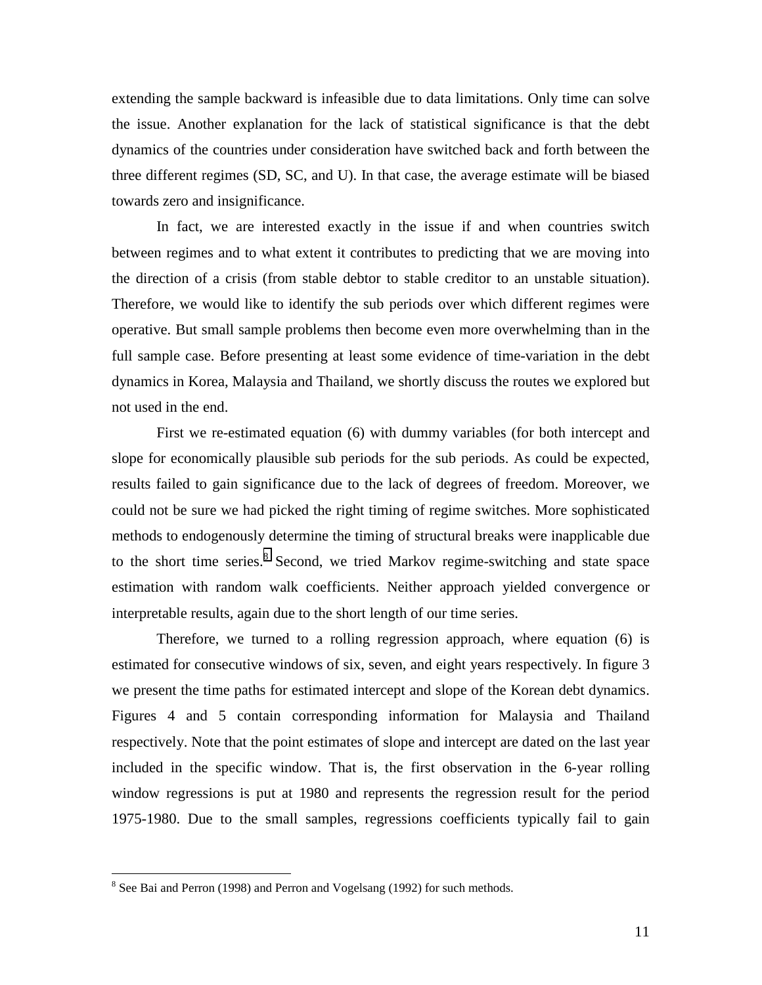extending the sample backward is infeasible due to data limitations. Only time can solve the issue. Another explanation for the lack of statistical significance is that the debt dynamics of the countries under consideration have switched back and forth between the three different regimes (SD, SC, and U). In that case, the average estimate will be biased towards zero and insignificance.

In fact, we are interested exactly in the issue if and when countries switch between regimes and to what extent it contributes to predicting that we are moving into the direction of a crisis (from stable debtor to stable creditor to an unstable situation). Therefore, we would like to identify the sub periods over which different regimes were operative. But small sample problems then become even more overwhelming than in the full sample case. Before presenting at least some evidence of time-variation in the debt dynamics in Korea, Malaysia and Thailand, we shortly discuss the routes we explored but not used in the end.

First we re-estimated equation (6) with dummy variables (for both intercept and slope for economically plausible sub periods for the sub periods. As could be expected, results failed to gain significance due to the lack of degrees of freedom. Moreover, we could not be sure we had picked the right timing of regime switches. More sophisticated methods to endogenously determine the timing of structural breaks were inapplicable due to the short time series.<sup>8</sup> Second, we tried Markov regime-switching and state space estimation with random walk coefficients. Neither approach yielded convergence or interpretable results, again due to the short length of our time series.

Therefore, we turned to a rolling regression approach, where equation (6) is estimated for consecutive windows of six, seven, and eight years respectively. In figure 3 we present the time paths for estimated intercept and slope of the Korean debt dynamics. Figures 4 and 5 contain corresponding information for Malaysia and Thailand respectively. Note that the point estimates of slope and intercept are dated on the last year included in the specific window. That is, the first observation in the 6-year rolling window regressions is put at 1980 and represents the regression result for the period 1975-1980. Due to the small samples, regressions coefficients typically fail to gain

<sup>&</sup>lt;sup>8</sup> See Bai and Perron (1998) and Perron and Vogelsang (1992) for such methods.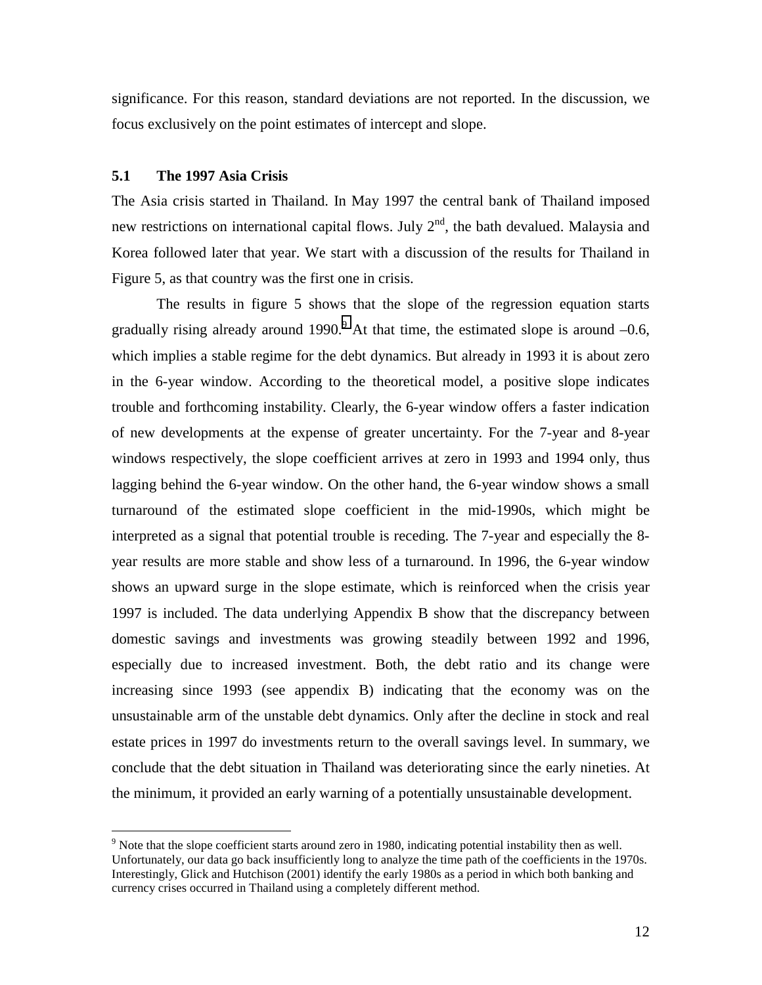significance. For this reason, standard deviations are not reported. In the discussion, we focus exclusively on the point estimates of intercept and slope.

#### **5.1 The 1997 Asia Crisis**

 $\overline{a}$ 

The Asia crisis started in Thailand. In May 1997 the central bank of Thailand imposed new restrictions on international capital flows. July  $2<sup>nd</sup>$ , the bath devalued. Malaysia and Korea followed later that year. We start with a discussion of the results for Thailand in Figure 5, as that country was the first one in crisis.

 The results in figure 5 shows that the slope of the regression equation starts gradually rising already around 1990.<sup>9</sup> At that time, the estimated slope is around  $-0.6$ , which implies a stable regime for the debt dynamics. But already in 1993 it is about zero in the 6-year window. According to the theoretical model, a positive slope indicates trouble and forthcoming instability. Clearly, the 6-year window offers a faster indication of new developments at the expense of greater uncertainty. For the 7-year and 8-year windows respectively, the slope coefficient arrives at zero in 1993 and 1994 only, thus lagging behind the 6-year window. On the other hand, the 6-year window shows a small turnaround of the estimated slope coefficient in the mid-1990s, which might be interpreted as a signal that potential trouble is receding. The 7-year and especially the 8 year results are more stable and show less of a turnaround. In 1996, the 6-year window shows an upward surge in the slope estimate, which is reinforced when the crisis year 1997 is included. The data underlying Appendix B show that the discrepancy between domestic savings and investments was growing steadily between 1992 and 1996, especially due to increased investment. Both, the debt ratio and its change were increasing since 1993 (see appendix B) indicating that the economy was on the unsustainable arm of the unstable debt dynamics. Only after the decline in stock and real estate prices in 1997 do investments return to the overall savings level. In summary, we conclude that the debt situation in Thailand was deteriorating since the early nineties. At the minimum, it provided an early warning of a potentially unsustainable development.

<sup>&</sup>lt;sup>9</sup> Note that the slope coefficient starts around zero in 1980, indicating potential instability then as well. Unfortunately, our data go back insufficiently long to analyze the time path of the coefficients in the 1970s. Interestingly, Glick and Hutchison (2001) identify the early 1980s as a period in which both banking and currency crises occurred in Thailand using a completely different method.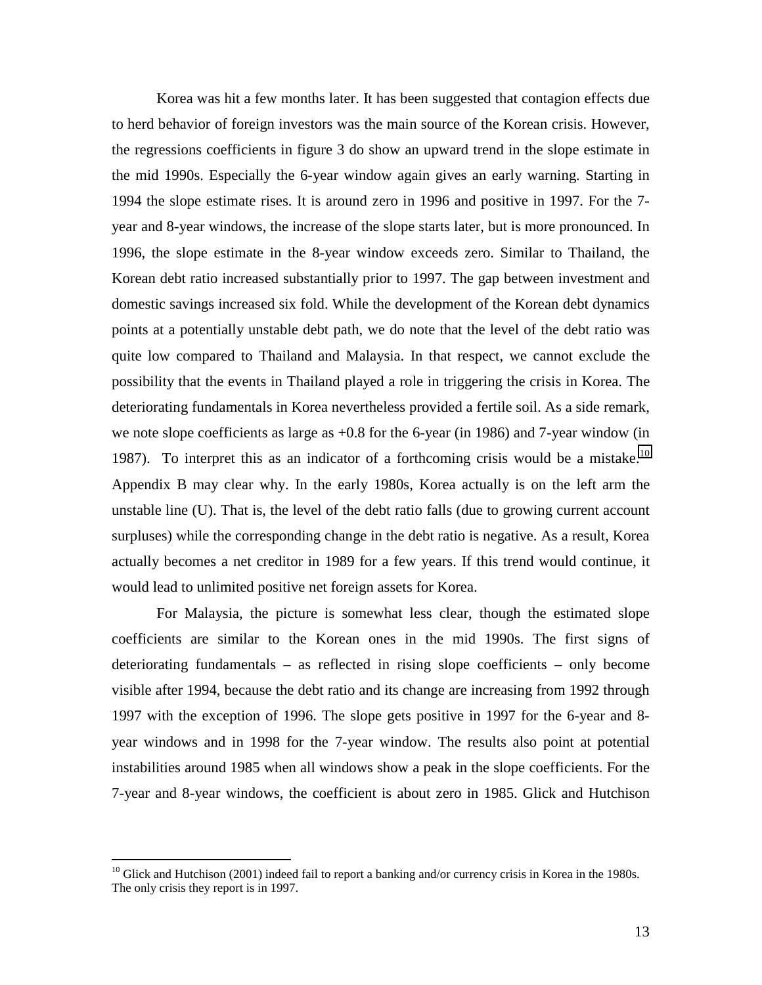Korea was hit a few months later. It has been suggested that contagion effects due to herd behavior of foreign investors was the main source of the Korean crisis. However, the regressions coefficients in figure 3 do show an upward trend in the slope estimate in the mid 1990s. Especially the 6-year window again gives an early warning. Starting in 1994 the slope estimate rises. It is around zero in 1996 and positive in 1997. For the 7 year and 8-year windows, the increase of the slope starts later, but is more pronounced. In 1996, the slope estimate in the 8-year window exceeds zero. Similar to Thailand, the Korean debt ratio increased substantially prior to 1997. The gap between investment and domestic savings increased six fold. While the development of the Korean debt dynamics points at a potentially unstable debt path, we do note that the level of the debt ratio was quite low compared to Thailand and Malaysia. In that respect, we cannot exclude the possibility that the events in Thailand played a role in triggering the crisis in Korea. The deteriorating fundamentals in Korea nevertheless provided a fertile soil. As a side remark, we note slope coefficients as large as +0.8 for the 6-year (in 1986) and 7-year window (in 1987). To interpret this as an indicator of a forthcoming crisis would be a mistake.<sup>10</sup> Appendix B may clear why. In the early 1980s, Korea actually is on the left arm the unstable line (U). That is, the level of the debt ratio falls (due to growing current account surpluses) while the corresponding change in the debt ratio is negative. As a result, Korea actually becomes a net creditor in 1989 for a few years. If this trend would continue, it would lead to unlimited positive net foreign assets for Korea.

 For Malaysia, the picture is somewhat less clear, though the estimated slope coefficients are similar to the Korean ones in the mid 1990s. The first signs of deteriorating fundamentals – as reflected in rising slope coefficients – only become visible after 1994, because the debt ratio and its change are increasing from 1992 through 1997 with the exception of 1996. The slope gets positive in 1997 for the 6-year and 8 year windows and in 1998 for the 7-year window. The results also point at potential instabilities around 1985 when all windows show a peak in the slope coefficients. For the 7-year and 8-year windows, the coefficient is about zero in 1985. Glick and Hutchison

 $10$  Glick and Hutchison (2001) indeed fail to report a banking and/or currency crisis in Korea in the 1980s. The only crisis they report is in 1997.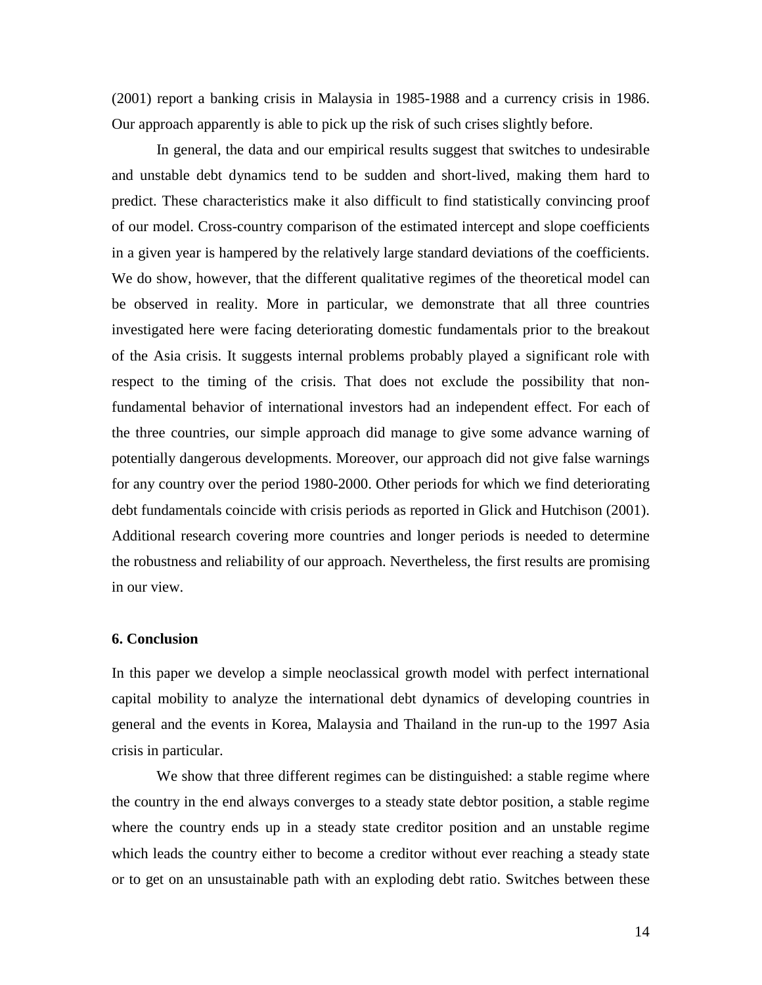(2001) report a banking crisis in Malaysia in 1985-1988 and a currency crisis in 1986. Our approach apparently is able to pick up the risk of such crises slightly before.

 In general, the data and our empirical results suggest that switches to undesirable and unstable debt dynamics tend to be sudden and short-lived, making them hard to predict. These characteristics make it also difficult to find statistically convincing proof of our model. Cross-country comparison of the estimated intercept and slope coefficients in a given year is hampered by the relatively large standard deviations of the coefficients. We do show, however, that the different qualitative regimes of the theoretical model can be observed in reality. More in particular, we demonstrate that all three countries investigated here were facing deteriorating domestic fundamentals prior to the breakout of the Asia crisis. It suggests internal problems probably played a significant role with respect to the timing of the crisis. That does not exclude the possibility that nonfundamental behavior of international investors had an independent effect. For each of the three countries, our simple approach did manage to give some advance warning of potentially dangerous developments. Moreover, our approach did not give false warnings for any country over the period 1980-2000. Other periods for which we find deteriorating debt fundamentals coincide with crisis periods as reported in Glick and Hutchison (2001). Additional research covering more countries and longer periods is needed to determine the robustness and reliability of our approach. Nevertheless, the first results are promising in our view.

### **6. Conclusion**

In this paper we develop a simple neoclassical growth model with perfect international capital mobility to analyze the international debt dynamics of developing countries in general and the events in Korea, Malaysia and Thailand in the run-up to the 1997 Asia crisis in particular.

We show that three different regimes can be distinguished: a stable regime where the country in the end always converges to a steady state debtor position, a stable regime where the country ends up in a steady state creditor position and an unstable regime which leads the country either to become a creditor without ever reaching a steady state or to get on an unsustainable path with an exploding debt ratio. Switches between these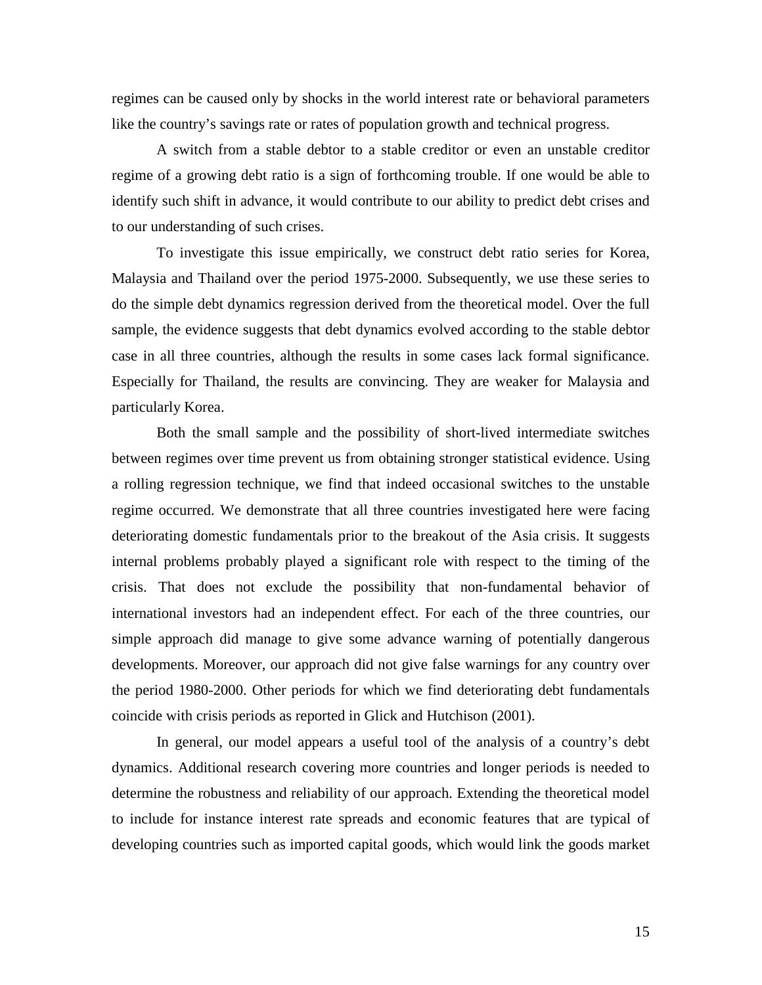regimes can be caused only by shocks in the world interest rate or behavioral parameters like the country's savings rate or rates of population growth and technical progress.

A switch from a stable debtor to a stable creditor or even an unstable creditor regime of a growing debt ratio is a sign of forthcoming trouble. If one would be able to identify such shift in advance, it would contribute to our ability to predict debt crises and to our understanding of such crises.

To investigate this issue empirically, we construct debt ratio series for Korea, Malaysia and Thailand over the period 1975-2000. Subsequently, we use these series to do the simple debt dynamics regression derived from the theoretical model. Over the full sample, the evidence suggests that debt dynamics evolved according to the stable debtor case in all three countries, although the results in some cases lack formal significance. Especially for Thailand, the results are convincing. They are weaker for Malaysia and particularly Korea.

Both the small sample and the possibility of short-lived intermediate switches between regimes over time prevent us from obtaining stronger statistical evidence. Using a rolling regression technique, we find that indeed occasional switches to the unstable regime occurred. We demonstrate that all three countries investigated here were facing deteriorating domestic fundamentals prior to the breakout of the Asia crisis. It suggests internal problems probably played a significant role with respect to the timing of the crisis. That does not exclude the possibility that non-fundamental behavior of international investors had an independent effect. For each of the three countries, our simple approach did manage to give some advance warning of potentially dangerous developments. Moreover, our approach did not give false warnings for any country over the period 1980-2000. Other periods for which we find deteriorating debt fundamentals coincide with crisis periods as reported in Glick and Hutchison (2001).

In general, our model appears a useful tool of the analysis of a country's debt dynamics. Additional research covering more countries and longer periods is needed to determine the robustness and reliability of our approach. Extending the theoretical model to include for instance interest rate spreads and economic features that are typical of developing countries such as imported capital goods, which would link the goods market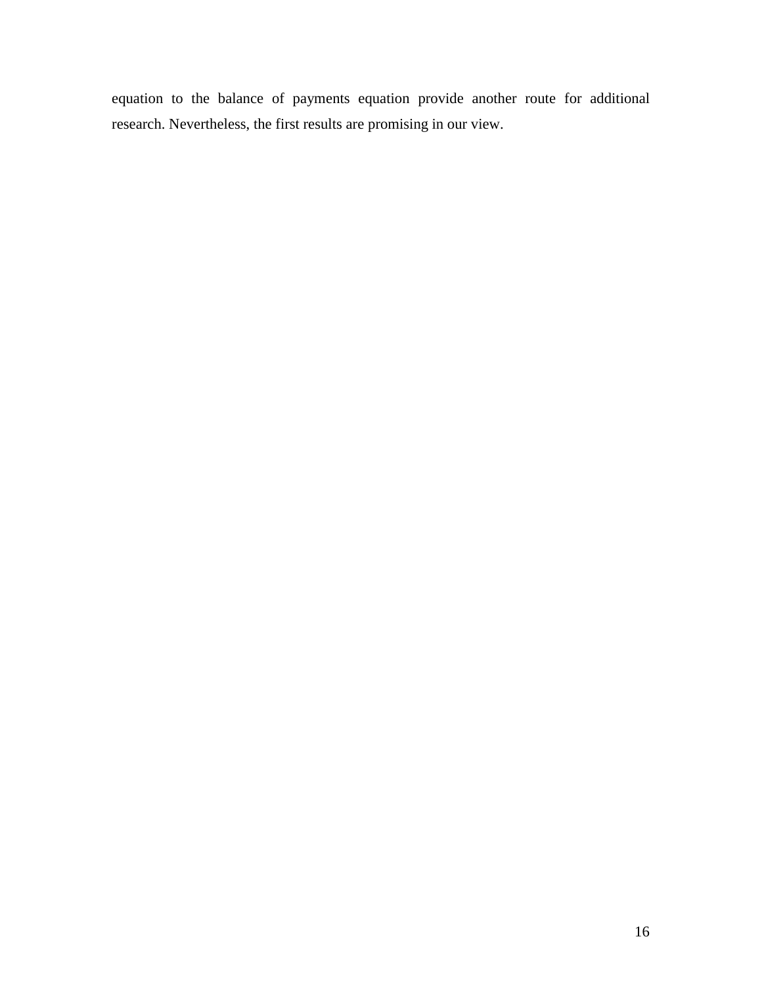equation to the balance of payments equation provide another route for additional research. Nevertheless, the first results are promising in our view.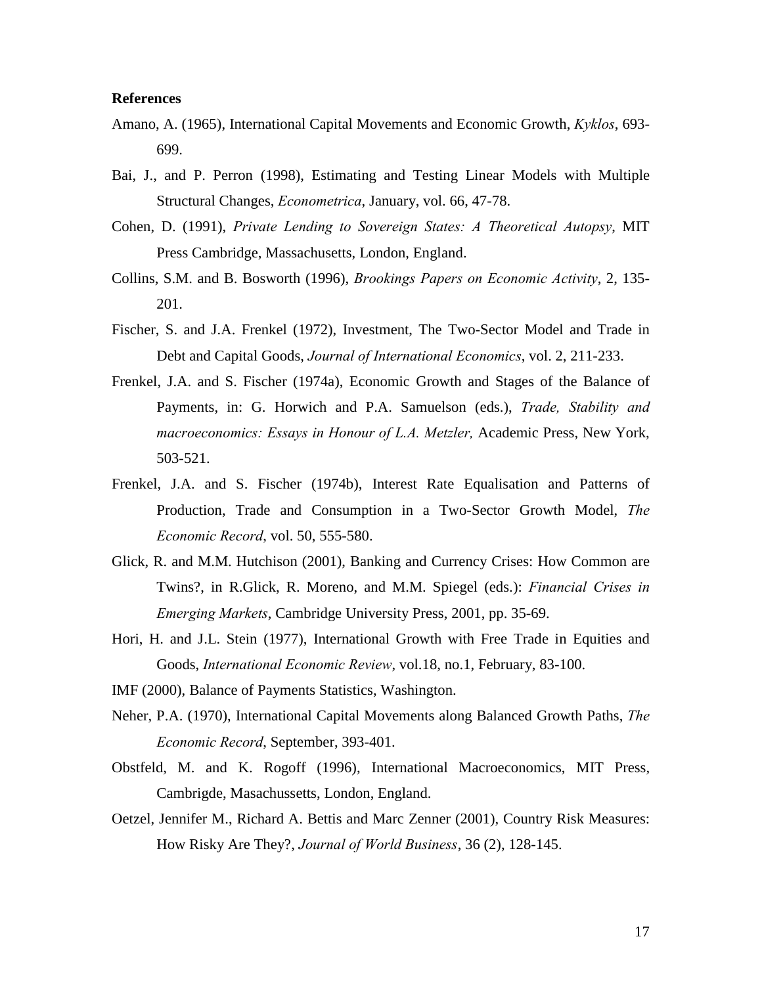#### **References**

- Amano, A. (1965), International Capital Movements and Economic Growth, *Kyklos*, 693- 699.
- Bai, J., and P. Perron (1998), Estimating and Testing Linear Models with Multiple Structural Changes, *Econometrica*, January, vol. 66, 47-78.
- Cohen, D. (1991), *Private Lending to Sovereign States: A Theoretical Autopsy*, MIT Press Cambridge, Massachusetts, London, England.
- Collins, S.M. and B. Bosworth (1996), *Brookings Papers on Economic Activity*, 2, 135- 201.
- Fischer, S. and J.A. Frenkel (1972), Investment, The Two-Sector Model and Trade in Debt and Capital Goods, *Journal of International Economics*, vol. 2, 211-233.
- Frenkel, J.A. and S. Fischer (1974a), Economic Growth and Stages of the Balance of Payments, in: G. Horwich and P.A. Samuelson (eds.), *Trade, Stability and macroeconomics: Essays in Honour of L.A. Metzler,* Academic Press, New York, 503-521.
- Frenkel, J.A. and S. Fischer (1974b), Interest Rate Equalisation and Patterns of Production, Trade and Consumption in a Two-Sector Growth Model, *The Economic Record*, vol. 50, 555-580.
- Glick, R. and M.M. Hutchison (2001), Banking and Currency Crises: How Common are Twins?, in R.Glick, R. Moreno, and M.M. Spiegel (eds.): *Financial Crises in Emerging Markets*, Cambridge University Press, 2001, pp. 35-69.
- Hori, H. and J.L. Stein (1977), International Growth with Free Trade in Equities and Goods, *International Economic Review*, vol.18, no.1, February, 83-100.
- IMF (2000), Balance of Payments Statistics, Washington.
- Neher, P.A. (1970), International Capital Movements along Balanced Growth Paths, *The Economic Record*, September, 393-401.
- Obstfeld, M. and K. Rogoff (1996), International Macroeconomics, MIT Press, Cambrigde, Masachussetts, London, England.
- Oetzel, Jennifer M., Richard A. Bettis and Marc Zenner (2001), Country Risk Measures: How Risky Are They?, *Journal of World Business*, 36 (2), 128-145.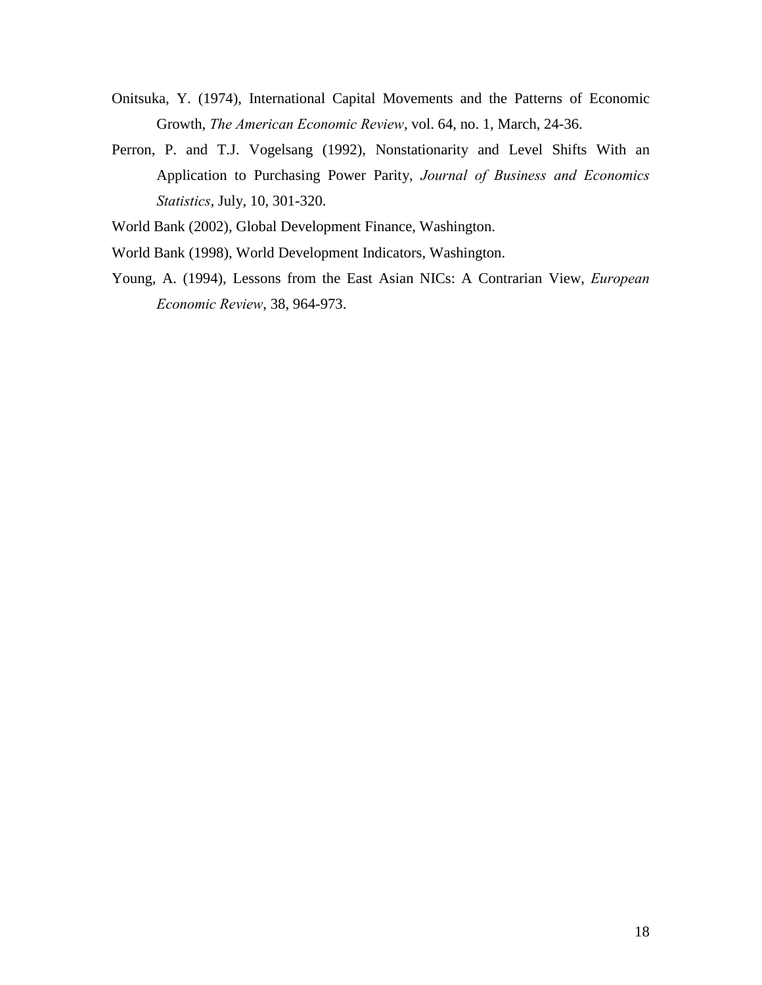- Onitsuka, Y. (1974), International Capital Movements and the Patterns of Economic Growth, *The American Economic Review*, vol. 64, no. 1, March, 24-36.
- Perron, P. and T.J. Vogelsang (1992), Nonstationarity and Level Shifts With an Application to Purchasing Power Parity, *Journal of Business and Economics Statistics*, July, 10, 301-320.
- World Bank (2002), Global Development Finance, Washington.
- World Bank (1998), World Development Indicators, Washington.
- Young, A. (1994), Lessons from the East Asian NICs: A Contrarian View, *European Economic Review*, 38, 964-973.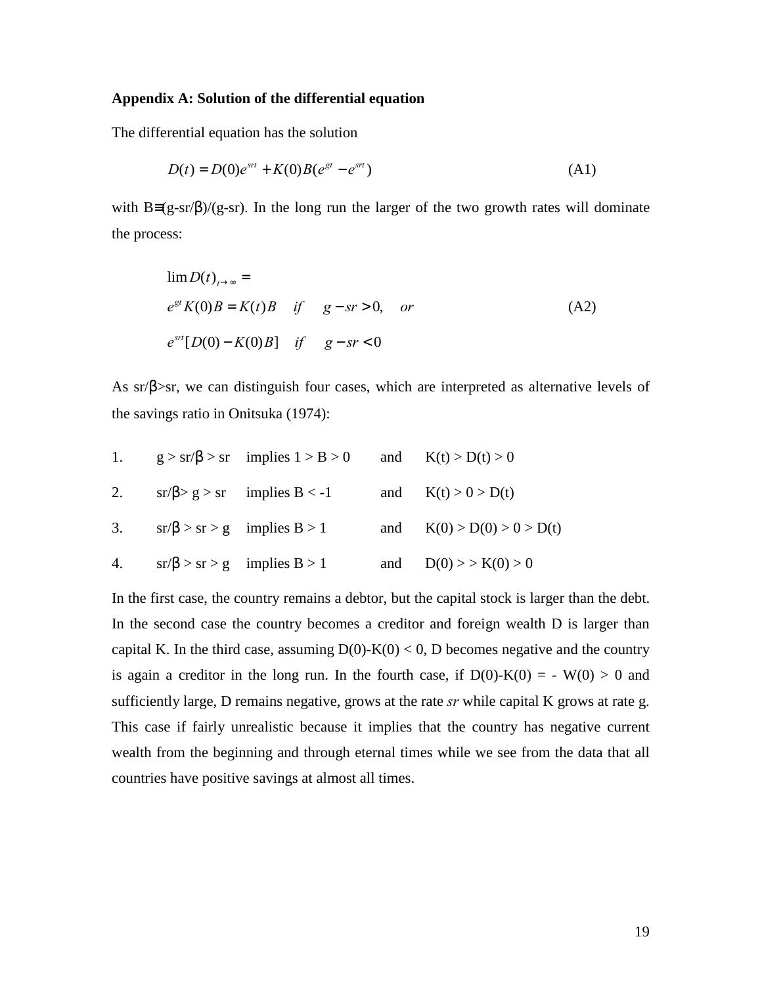#### **Appendix A: Solution of the differential equation**

The differential equation has the solution

$$
D(t) = D(0)e^{srt} + K(0)B(e^{st} - e^{srt})
$$
\n(A1)

with  $B=(g-sr/\beta)/(g-sr)$ . In the long run the larger of the two growth rates will dominate the process:

$$
\lim_{t \to \infty} D(t)_{t \to \infty} =
$$
\n
$$
e^{gt} K(0) B = K(t) B \quad \text{if} \quad g - sr > 0, \quad \text{or}
$$
\n
$$
e^{srt} [D(0) - K(0)B] \quad \text{if} \quad g - sr < 0
$$
\n
$$
(A2)
$$

As  $sr/\beta$ >sr, we can distinguish four cases, which are interpreted as alternative levels of the savings ratio in Onitsuka (1974):

| 1. | $g > sr/\beta > sr$ implies $1 > B > 0$ and $K(t) > D(t) > 0$ |                              |
|----|---------------------------------------------------------------|------------------------------|
| 2. | $sr/\beta > g > sr$ implies B < -1                            | and $K(t) > 0 > D(t)$        |
|    | 3. $sr/\beta > sr > g$ implies $B > 1$                        | and $K(0) > D(0) > 0 > D(t)$ |
|    | 4. $sr/\beta > sr > g$ implies $B > 1$                        | and $D(0) >> K(0) > 0$       |

In the first case, the country remains a debtor, but the capital stock is larger than the debt. In the second case the country becomes a creditor and foreign wealth D is larger than capital K. In the third case, assuming  $D(0)-K(0) < 0$ , D becomes negative and the country is again a creditor in the long run. In the fourth case, if  $D(0)-K(0) = - W(0) > 0$  and sufficiently large, D remains negative, grows at the rate *sr* while capital K grows at rate g. This case if fairly unrealistic because it implies that the country has negative current wealth from the beginning and through eternal times while we see from the data that all countries have positive savings at almost all times.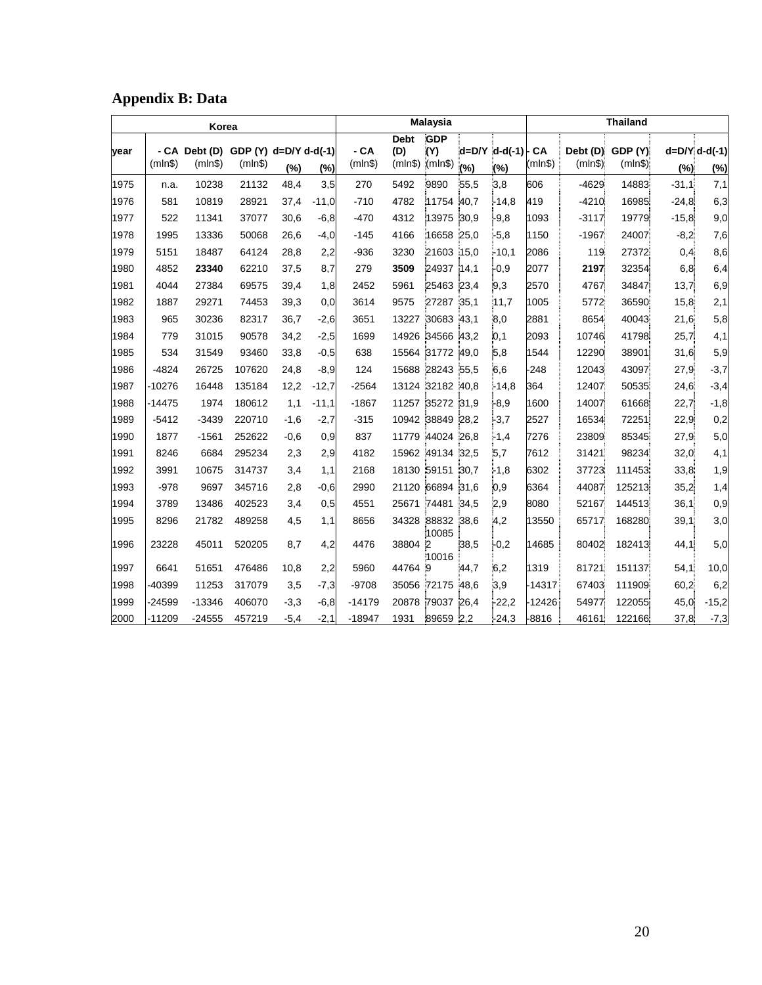| <b>Appendix B: Data</b> |  |  |  |
|-------------------------|--|--|--|
|-------------------------|--|--|--|

| Korea |          |                                                |         |        | <b>Malaysia</b> |                  |                               |                              | <b>Thailand</b> |                            |               |                     |                    |         |                          |
|-------|----------|------------------------------------------------|---------|--------|-----------------|------------------|-------------------------------|------------------------------|-----------------|----------------------------|---------------|---------------------|--------------------|---------|--------------------------|
| vear  | (mIn\$)  | - CA Debt (D) GDP (Y) d=D/Y d-d(-1)<br>(mIn\$) | (mIn\$) | (%)    | (%)             | $-CA$<br>(mIn\$) | <b>Debt</b><br>(D)<br>(mIn\$) | <b>GDP</b><br>(Y)<br>(mIn\$) | (%)             | $d = D/Y$ $d-d(-1)$<br>(%) | CA<br>(mIn\$) | Debt (D)<br>(mIn\$) | GDP (Y)<br>(mIn\$) | (%)     | $d = D/Y$ d-d(-1)<br>(%) |
| 1975  | n.a.     | 10238                                          | 21132   | 48,4   | 3,5             | 270              | 5492                          | 9890                         | 55,5            | 3.8                        | 606           | $-4629$             | 14883              | $-31,1$ | 7,1                      |
| 1976  | 581      | 10819                                          | 28921   | 37,4   | $-11,0$         | $-710$           | 4782                          | 11754                        | 40,7            | $-14.8$                    | 419           | $-4210$             | 16985              | $-24,8$ | 6,3                      |
| 1977  | 522      | 11341                                          | 37077   | 30,6   | $-6,8$          | $-470$           | 4312                          | 13975 30.9                   |                 | $-9,8$                     | 1093          | $-3117$             | 19779              | $-15,8$ | 9,0                      |
| 1978  | 1995     | 13336                                          | 50068   | 26,6   | $-4,0$          | $-145$           | 4166                          | 16658 25,0                   |                 | $-5,8$                     | 1150          | $-1967$             | 24007              | $-8,2$  | 7,6                      |
| 1979  | 5151     | 18487                                          | 64124   | 28,8   | 2,2             | $-936$           | 3230                          | 21603 15,0                   |                 | $-10,1$                    | 2086          | 119                 | 27372              | 0,4     | 8,6                      |
| 1980  | 4852     | 23340                                          | 62210   | 37,5   | 8,7             | 279              | 3509                          | 24937                        | 14,1            | $-0.9$                     | 2077          | 2197                | 32354              | 6,8     | 6,4                      |
| 1981  | 4044     | 27384                                          | 69575   | 39,4   | 1,8             | 2452             | 5961                          | 25463 23.4                   |                 | 9,3                        | 2570          | 4767                | 34847              | 13,7    | 6,9                      |
| 1982  | 1887     | 29271                                          | 74453   | 39,3   | 0,0             | 3614             | 9575                          | 27287 35.1                   |                 | 11,7                       | 1005          | 5772                | 36590              | 15,8    | 2,1                      |
| 1983  | 965      | 30236                                          | 82317   | 36,7   | $-2,6$          | 3651             |                               | 13227 30683 43,1             |                 | 8,0                        | 2881          | 8654                | 40043              | 21,6    | 5,8                      |
| 1984  | 779      | 31015                                          | 90578   | 34,2   | $-2,5$          | 1699             |                               | 14926 34566 43,2             |                 | 0,1                        | 2093          | 10746               | 41798              | 25,7    | 4,1                      |
| 1985  | 534      | 31549                                          | 93460   | 33,8   | $-0,5$          | 638              |                               | 15564 31772                  | 49,0            | 5,8                        | 1544          | 12290               | 38901              | 31,6    | 5,9                      |
| 1986  | $-4824$  | 26725                                          | 107620  | 24,8   | $-8,9$          | 124              |                               | 15688 28243 55.5             |                 | 6,6                        | $-248$        | 12043               | 43097              | 27,9    | $-3,7$                   |
| 1987  | -10276   | 16448                                          | 135184  | 12,2   | $-12,7$         | $-2564$          |                               | 13124 32182 40,8             |                 | $-14.8$                    | 364           | 12407               | 50535              | 24,6    | $-3,4$                   |
| 1988  | -14475   | 1974                                           | 180612  | 1,1    | $-11,1$         | $-1867$          |                               | 11257 35272 31,9             |                 | $-8,9$                     | 1600          | 14007               | 61668              | 22,7    | $-1,8$                   |
| 1989  | $-5412$  | $-3439$                                        | 220710  | $-1,6$ | $-2,7$          | $-315$           |                               | 10942 38849 28,2             |                 | $-3,7$                     | 2527          | 16534               | 72251              | 22,9    | 0,2                      |
| 1990  | 1877     | $-1561$                                        | 252622  | $-0,6$ | 0,9             | 837              |                               | 11779 44024 26,8             |                 | $-1,4$                     | 7276          | 23809               | 85345              | 27,9    | 5,0                      |
| 1991  | 8246     | 6684                                           | 295234  | 2,3    | 2,9             | 4182             |                               | 15962 49134 32,5             |                 | 5,7                        | 7612          | 31421               | 98234              | 32,0    | 4,1                      |
| 1992  | 3991     | 10675                                          | 314737  | 3,4    | 1,1             | 2168             |                               | 18130 59151                  | 30,7            | $-1.8$                     | 6302          | 37723               | 111453             | 33,8    | 1,9                      |
| 1993  | $-978$   | 9697                                           | 345716  | 2,8    | $-0,6$          | 2990             |                               | 21120 66894                  | 31,6            | 0,9                        | 6364          | 44087               | 125213             | 35,2    | 1,4                      |
| 1994  | 3789     | 13486                                          | 402523  | 3,4    | 0,5             | 4551             |                               | 25671 74481 34,5             |                 | 2,9                        | 8080          | 52167               | 144513             | 36,1    | 0,9                      |
| 1995  | 8296     | 21782                                          | 489258  | 4,5    | 1,1             | 8656             |                               | 34328 88832 38,6<br>10085    |                 | 4,2                        | 13550         | 65717               | 168280             | 39,1    | 3,0                      |
| 1996  | 23228    | 45011                                          | 520205  | 8,7    | 4,2             | 4476             | 38804 2                       | 10016                        | 38,5            | $-0,2$                     | 14685         | 80402               | 182413             | 44,1    | 5,0                      |
| 1997  | 6641     | 51651                                          | 476486  | 10,8   | 2,2             | 5960             | 44764 9                       |                              | 44,7            | 6,2                        | 1319          | 81721               | 151137             | 54,1    | 10,0                     |
| 1998  | -40399   | 11253                                          | 317079  | 3,5    | $-7,3$          | $-9708$          |                               | 35056 72175                  | 48,6            | 3,9                        | $-14317$      | 67403               | 111909             | 60,2    | 6,2                      |
| 1999  | -24599   | $-13346$                                       | 406070  | $-3,3$ | $-6,8$          | $-14179$         |                               | 20878 79037 26,4             |                 | $-22,2$                    | -12426        | 54977               | 122055             | 45,0    | $-15,2$                  |
| 2000  | $-11209$ | $-24555$                                       | 457219  | $-5,4$ | $-2,1$          | $-18947$         | 1931                          | 89659 2.2                    |                 | $-24.3$                    | -8816         | 46161               | 122166             | 37,8    | $-7,3$                   |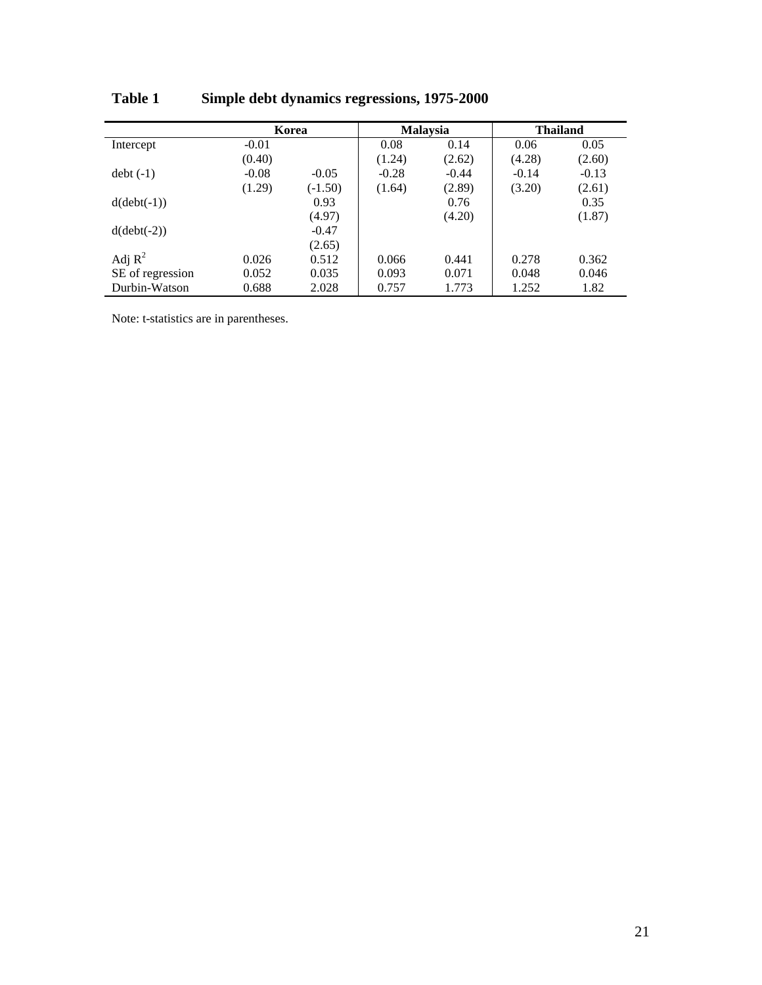|                  |         | Korea     |         | <b>Malaysia</b> | <b>Thailand</b> |         |  |
|------------------|---------|-----------|---------|-----------------|-----------------|---------|--|
| Intercept        | $-0.01$ |           | 0.08    | 0.14            | 0.06            | 0.05    |  |
|                  | (0.40)  |           | (1.24)  | (2.62)          | (4.28)          | (2.60)  |  |
| $debt(-1)$       | $-0.08$ | $-0.05$   | $-0.28$ | $-0.44$         | $-0.14$         | $-0.13$ |  |
|                  | (1.29)  | $(-1.50)$ | (1.64)  | (2.89)          | (3.20)          | (2.61)  |  |
| $d(debt(-1))$    |         | 0.93      |         | 0.76            |                 | 0.35    |  |
|                  |         | (4.97)    |         | (4.20)          |                 | (1.87)  |  |
| $d(debt(-2))$    |         | $-0.47$   |         |                 |                 |         |  |
|                  |         | (2.65)    |         |                 |                 |         |  |
| Adj $R^2$        | 0.026   | 0.512     | 0.066   | 0.441           | 0.278           | 0.362   |  |
| SE of regression | 0.052   | 0.035     | 0.093   | 0.071           | 0.048           | 0.046   |  |
| Durbin-Watson    | 0.688   | 2.028     | 0.757   | 1.773           | 1.252           | 1.82    |  |

**Table 1 Simple debt dynamics regressions, 1975-2000**

Note: t-statistics are in parentheses.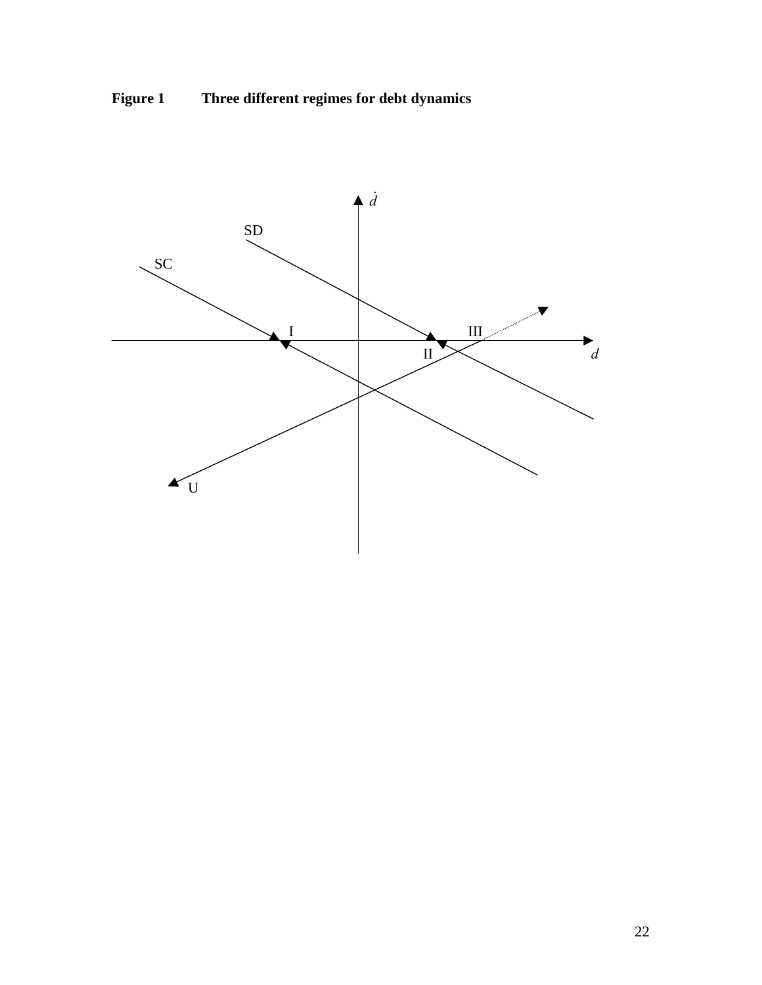

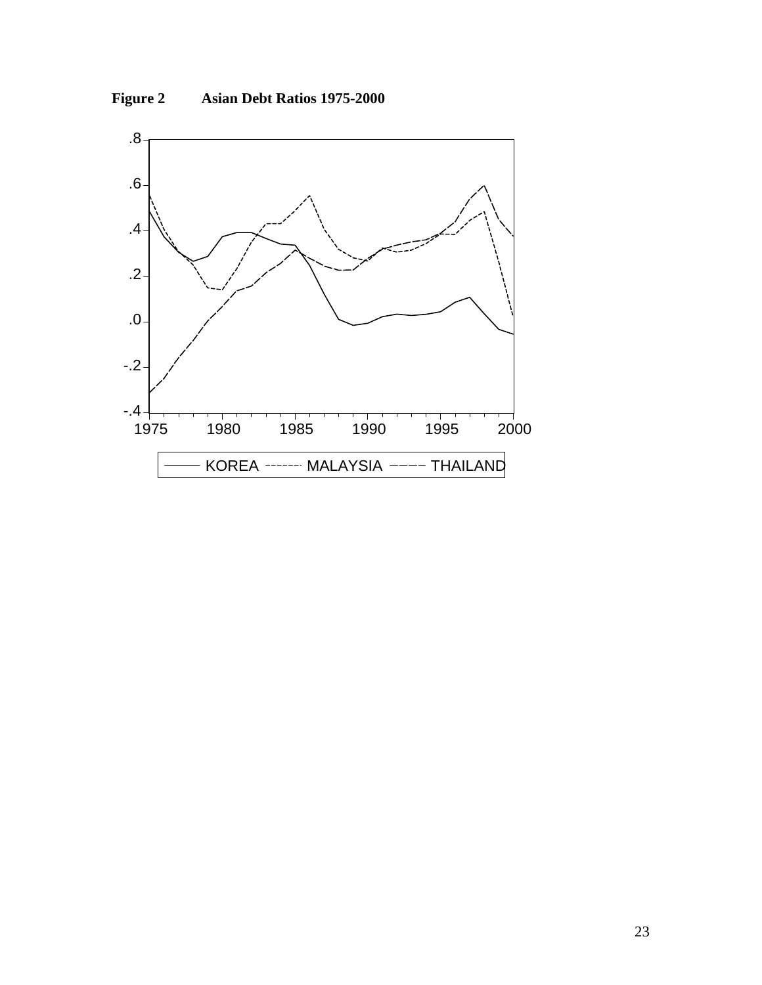

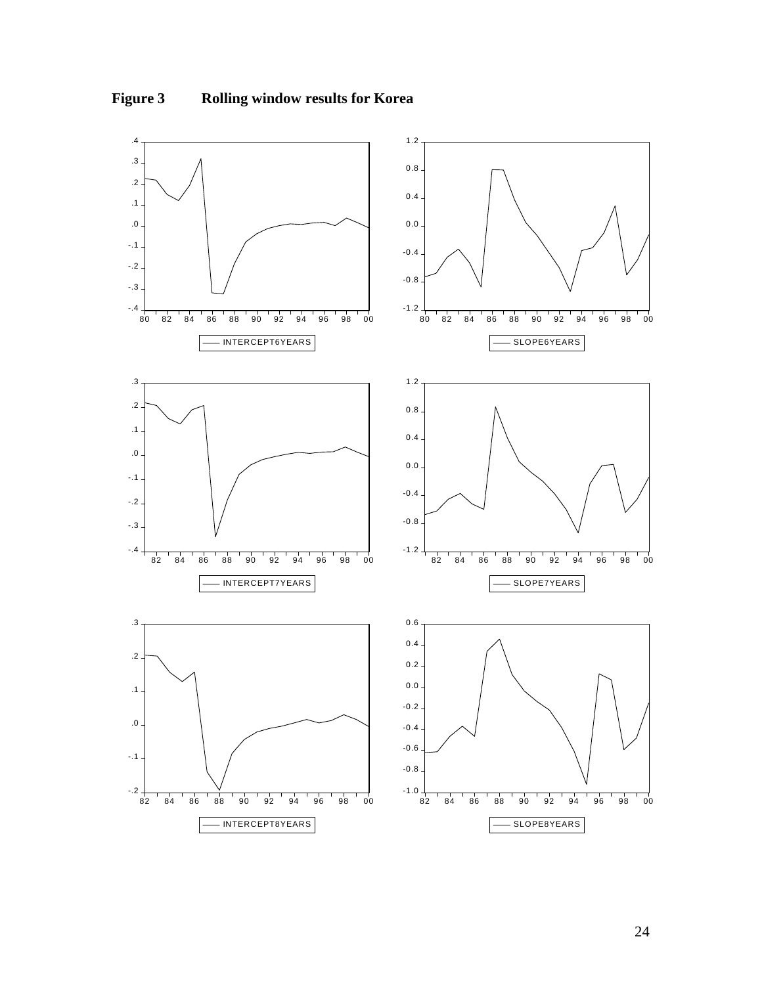

# **Figure 3 Rolling window results for Korea**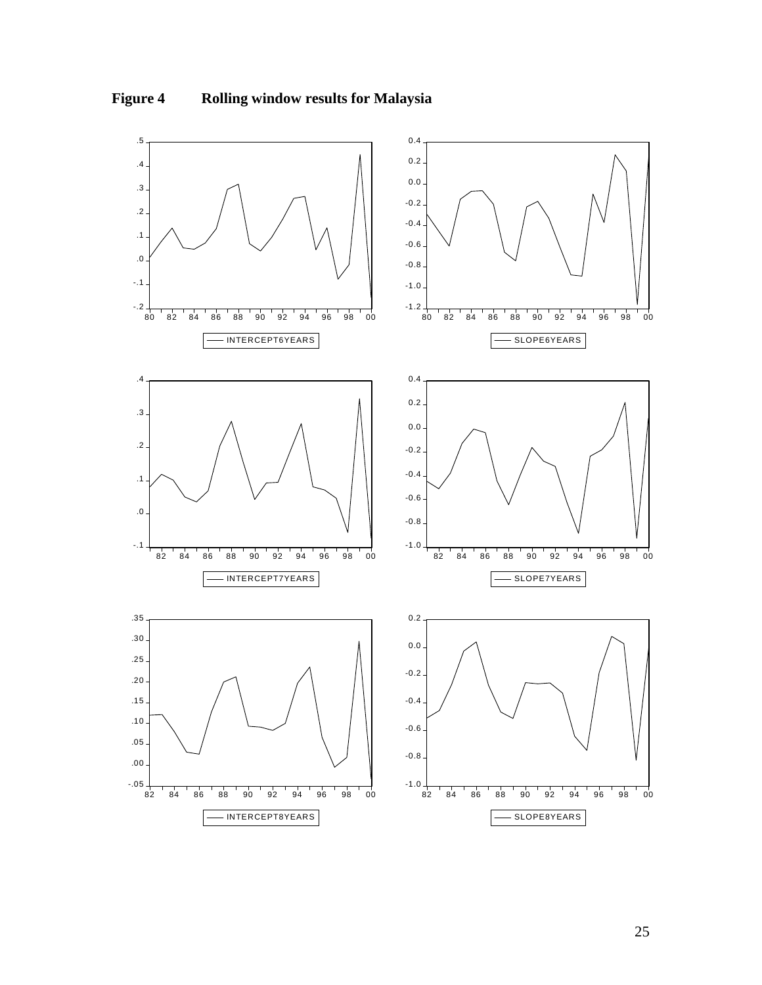